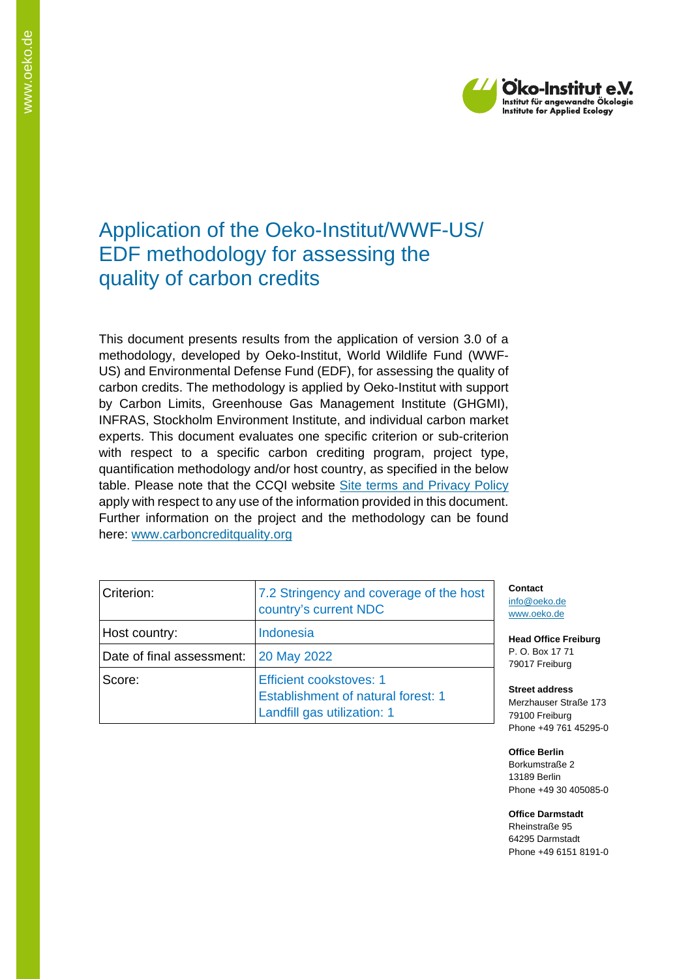

## Application of the Oeko-Institut/WWF-US/ EDF methodology for assessing the quality of carbon credits

This document presents results from the application of version 3.0 of a methodology, developed by Oeko-Institut, World Wildlife Fund (WWF-US) and Environmental Defense Fund (EDF), for assessing the quality of carbon credits. The methodology is applied by Oeko-Institut with support by Carbon Limits, Greenhouse Gas Management Institute (GHGMI), INFRAS, Stockholm Environment Institute, and individual carbon market experts. This document evaluates one specific criterion or sub-criterion with respect to a specific carbon crediting program, project type, quantification methodology and/or host country, as specified in the below table. Please note that the CCQI website [Site terms and Privacy Policy](https://carboncreditquality.org/terms.html) apply with respect to any use of the information provided in this document. Further information on the project and the methodology can be found here: [www.carboncreditquality.org](http://www.carboncreditquality.org/)

| Criterion:                | 7.2 Stringency and coverage of the host<br>country's current NDC                                           |
|---------------------------|------------------------------------------------------------------------------------------------------------|
| Host country:             | Indonesia                                                                                                  |
| Date of final assessment: | <b>20 May 2022</b>                                                                                         |
| Score:                    | <b>Efficient cookstoves: 1</b><br><b>Establishment of natural forest: 1</b><br>Landfill gas utilization: 1 |

**Contact** [info@oeko.de](mailto:info@oeko.de) [www.oeko.de](http://www.oeko.de/)

**Head Office Freiburg** P. O. Box 17 71 79017 Freiburg

**Street address** Merzhauser Straße 173 79100 Freiburg Phone +49 761 45295-0

**Office Berlin** Borkumstraße 2 13189 Berlin Phone +49 30 405085-0

**Office Darmstadt** Rheinstraße 95 64295 Darmstadt Phone +49 6151 8191-0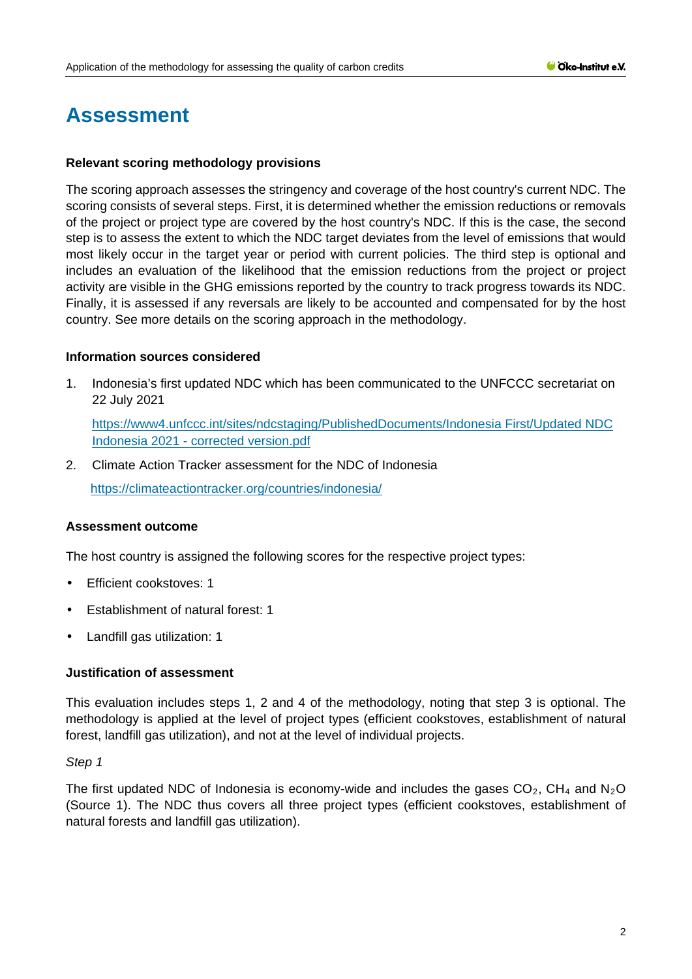# **Assessment**

#### **Relevant scoring methodology provisions**

The scoring approach assesses the stringency and coverage of the host country's current NDC. The scoring consists of several steps. First, it is determined whether the emission reductions or removals of the project or project type are covered by the host country's NDC. If this is the case, the second step is to assess the extent to which the NDC target deviates from the level of emissions that would most likely occur in the target year or period with current policies. The third step is optional and includes an evaluation of the likelihood that the emission reductions from the project or project activity are visible in the GHG emissions reported by the country to track progress towards its NDC. Finally, it is assessed if any reversals are likely to be accounted and compensated for by the host country. See more details on the scoring approach in the methodology.

#### **Information sources considered**

1. Indonesia's first updated NDC which has been communicated to the UNFCCC secretariat on 22 July 2021

[https://www4.unfccc.int/sites/ndcstaging/PublishedDocuments/Indonesia First/Updated NDC](https://www4.unfccc.int/sites/ndcstaging/PublishedDocuments/Indonesia%20First/Updated%20NDC%20Indonesia%202021%20-%20corrected%20version.pdf)  Indonesia 2021 - [corrected version.pdf](https://www4.unfccc.int/sites/ndcstaging/PublishedDocuments/Indonesia%20First/Updated%20NDC%20Indonesia%202021%20-%20corrected%20version.pdf)

2. Climate Action Tracker assessment for the NDC of Indonesia

<https://climateactiontracker.org/countries/indonesia/>

#### **Assessment outcome**

The host country is assigned the following scores for the respective project types:

- Efficient cookstoves: 1 t.
- Establishment of natural forest: 1
- Landfill gas utilization: 1

#### **Justification of assessment**

This evaluation includes steps 1, 2 and 4 of the methodology, noting that step 3 is optional. The methodology is applied at the level of project types (efficient cookstoves, establishment of natural forest, landfill gas utilization), and not at the level of individual projects.

#### *Step 1*

The first updated NDC of Indonesia is economy-wide and includes the gases  $CO<sub>2</sub>$ , CH<sub>4</sub> and N<sub>2</sub>O (Source 1). The NDC thus covers all three project types (efficient cookstoves, establishment of natural forests and landfill gas utilization).